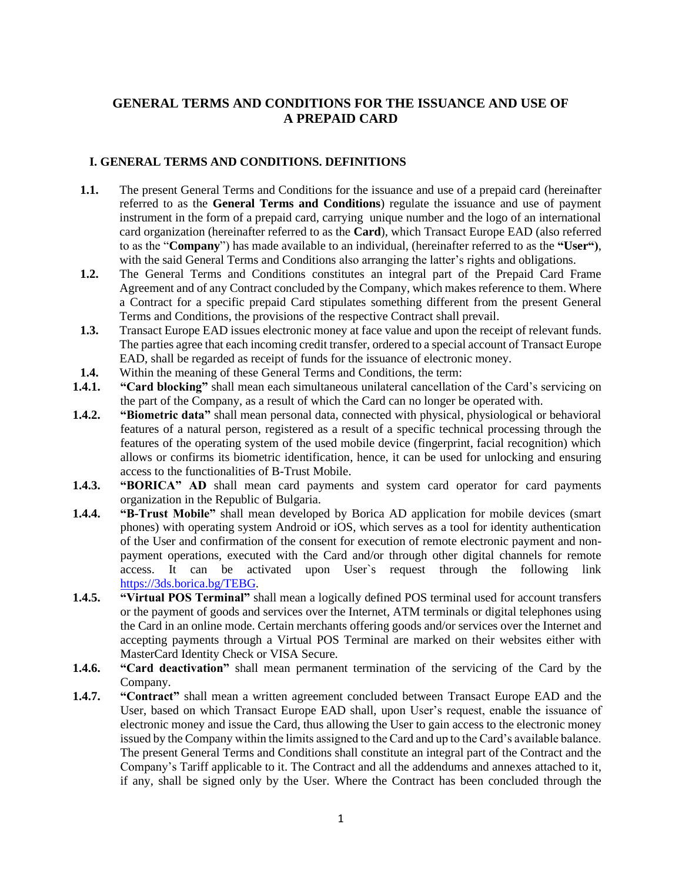# **GENERAL TERMS AND CONDITIONS FOR THE ISSUANCE AND USE OF A PREPAID CARD**

# **I. GENERAL TERMS AND CONDITIONS. DEFINITIONS**

- **1.1.** The present General Terms and Conditions for the issuance and use of a prepaid card (hereinafter referred to as the **General Terms and Conditions**) regulate the issuance and use of payment instrument in the form of a prepaid card, carrying unique number and the logo of an international card organization (hereinafter referred to as the **Card**), which Transact Europe EAD (also referred to as the "**Company**") has made available to an individual, (hereinafter referred to as the **"User")**, with the said General Terms and Conditions also arranging the latter's rights and obligations.
- **1.2.** The General Terms and Conditions constitutes an integral part of the Prepaid Card Frame Agreement and of any Contract concluded by the Company, which makes reference to them. Where a Contract for a specific prepaid Card stipulates something different from the present General Terms and Conditions, the provisions of the respective Contract shall prevail.
- **1.3.** Transact Europe EAD issues electronic money at face value and upon the receipt of relevant funds. The parties agree that each incoming credit transfer, ordered to a special account of Transact Europe EAD, shall be regarded as receipt of funds for the issuance of electronic money.
- **1.4.** Within the meaning of these General Terms and Conditions, the term:
- **1.4.1. "Card blocking"** shall mean each simultaneous unilateral cancellation of the Card's servicing on the part of the Company, as a result of which the Card can no longer be operated with.
- **1.4.2. "Biometric data"** shall mean personal data, connected with physical, physiological or behavioral features of a natural person, registered as a result of a specific technical processing through the features of the operating system of the used mobile device (fingerprint, facial recognition) which allows or confirms its biometric identification, hence, it can be used for unlocking and ensuring access to the functionalities of B-Trust Mobile.
- **1.4.3. "BORICA" AD** shall mean card payments and system card operator for card payments organization in the Republic of Bulgaria.
- **1.4.4. "B-Trust Mobile"** shall mean developed by Borica AD application for mobile devices (smart phones) with operating system Android or iOS, which serves as a tool for identity authentication of the User and confirmation of the consent for execution of remote electronic payment and nonpayment operations, executed with the Card and/or through other digital channels for remote access. It can be activated upon User`s request through the following link [https://3ds.borica.bg/TEBG.](https://3ds.borica.bg/TEBG)
- **1.4.5. "Virtual POS Terminal"** shall mean a logically defined POS terminal used for account transfers or the payment of goods and services over the Internet, ATM terminals or digital telephones using the Card in an online mode. Certain merchants offering goods and/or services over the Internet and accepting payments through a Virtual POS Terminal are marked on their websites either with MasterCard Identity Check or VISA Secure.
- **1.4.6. "Card deactivation"** shall mean permanent termination of the servicing of the Card by the Company.
- **1.4.7. "Contract"** shall mean a written agreement concluded between Transact Europe EAD and the User, based on which Transact Europe EAD shall, upon User's request, enable the issuance of electronic money and issue the Card, thus allowing the User to gain access to the electronic money issued by the Company within the limits assigned to the Card and up to the Card's available balance. The present General Terms and Conditions shall constitute an integral part of the Contract and the Company's Tariff applicable to it. The Contract and all the addendums and annexes attached to it, if any, shall be signed only by the User. Where the Contract has been concluded through the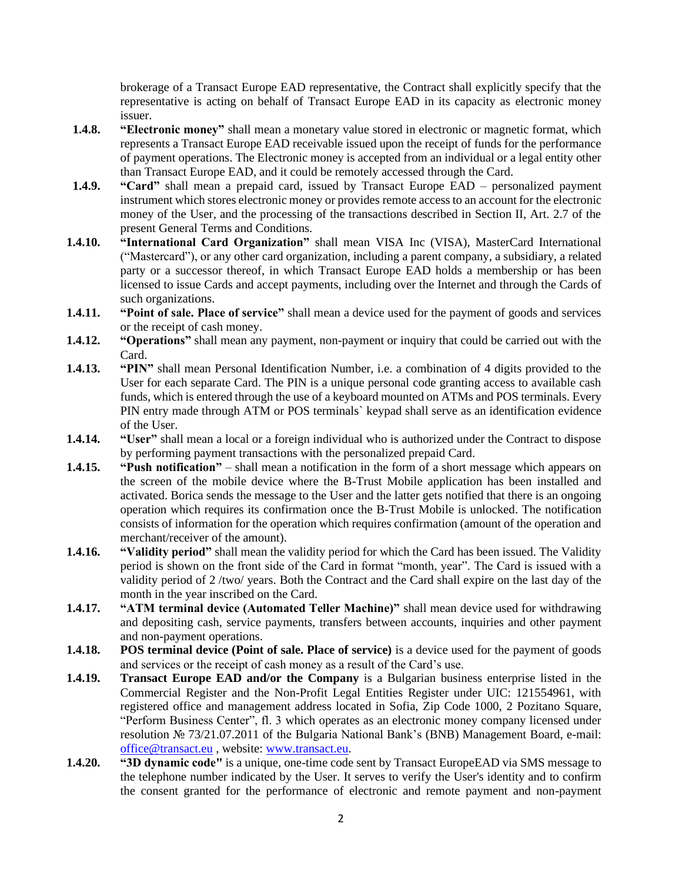brokerage of a Transact Europe EAD representative, the Contract shall explicitly specify that the representative is acting on behalf of Transact Europe EAD in its capacity as electronic money issuer.

- **1.4.8. "Electronic money"** shall mean a monetary value stored in electronic or magnetic format, which represents a Transact Europe EAD receivable issued upon the receipt of funds for the performance of payment operations. The Electronic money is accepted from an individual or a legal entity other than Transact Europe EAD, and it could be remotely accessed through the Card.
- **1.4.9. "Card"** shall mean a prepaid card, issued by Transact Europe EAD personalized payment instrument which stores electronic money or provides remote access to an account for the electronic money of the User, and the processing of the transactions described in Section II, Art. 2.7 of the present General Terms and Conditions.
- **1.4.10. "International Card Organization"** shall mean VISA Inc (VISA), MasterCard International ("Mastercard"), or any other card organization, including a parent company, a subsidiary, a related party or a successor thereof, in which Transact Europe EAD holds a membership or has been licensed to issue Cards and accept payments, including over the Internet and through the Cards of such organizations.
- **1.4.11. "Point of sale. Place of service"** shall mean a device used for the payment of goods and services or the receipt of cash money.
- **1.4.12. "Operations"** shall mean any payment, non-payment or inquiry that could be carried out with the Card.
- **1.4.13. "PIN"** shall mean Personal Identification Number, i.e. a combination of 4 digits provided to the User for each separate Card. The PIN is a unique personal code granting access to available cash funds, which is entered through the use of a keyboard mounted on ATMs and POS terminals. Every PIN entry made through ATM or POS terminals` keypad shall serve as an identification evidence of the User.
- **1.4.14. "User"** shall mean a local or a foreign individual who is authorized under the Contract to dispose by performing payment transactions with the personalized prepaid Card.
- **1.4.15. "Push notification"** shall mean a notification in the form of a short message which appears on the screen of the mobile device where the B-Trust Mobile application has been installed and activated. Borica sends the message to the User and the latter gets notified that there is an ongoing operation which requires its confirmation once the B-Trust Mobile is unlocked. The notification consists of information for the operation which requires confirmation (amount of the operation and merchant/receiver of the amount).
- **1.4.16. "Validity period"** shall mean the validity period for which the Card has been issued. The Validity period is shown on the front side of the Card in format "month, year". The Card is issued with a validity period of 2 /two/ years. Both the Contract and the Card shall expire on the last day of the month in the year inscribed on the Card.
- **1.4.17. "ATM terminal device (Automated Teller Machine)"** shall mean device used for withdrawing and depositing cash, service payments, transfers between accounts, inquiries and other payment and non-payment operations.
- **1.4.18. POS terminal device (Point of sale. Place of service)** is a device used for the payment of goods and services or the receipt of cash money as a result of the Card's use.
- **1.4.19. Transact Europe EAD and/or the Company** is a Bulgarian business enterprise listed in the Commercial Register and the Non-Profit Legal Entities Register under UIC: 121554961, with registered office and management address located in Sofia, Zip Code 1000, 2 Pozitano Square, "Perform Business Center", fl. 3 which operates as an electronic money company licensed under resolution № 73/21.07.2011 of the Bulgaria National Bank's (BNB) Management Board, e-mail: [office@transact.eu](mailto:office@transact.eu) , website: [www.transact.eu.](http://www.transact.eu/)
- **1.4.20. "3D dynamic code"** is a unique, one-time code sent by Transact EuropeEAD via SMS message to the telephone number indicated by the User. It serves to verify the User's identity and to confirm the consent granted for the performance of electronic and remote payment and non-payment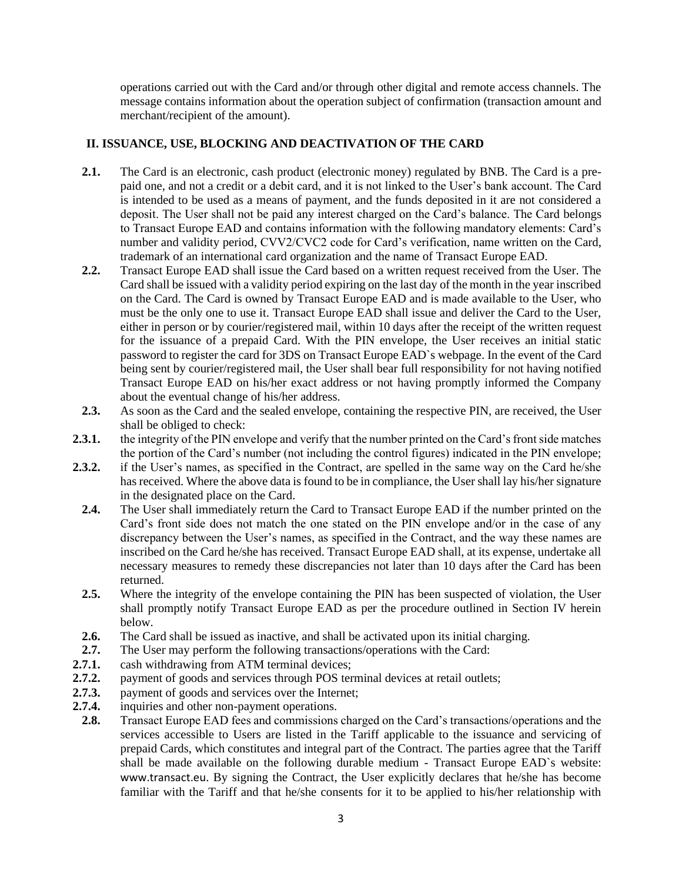operations carried out with the Card and/or through other digital and remote access channels. The message contains information about the operation subject of confirmation (transaction amount and merchant/recipient of the amount).

# **II. ISSUANCE, USE, BLOCKING AND DEACTIVATION OF THE CARD**

- **2.1.** The Card is an electronic, cash product (electronic money) regulated by BNB. The Card is a prepaid one, and not a credit or a debit card, and it is not linked to the User's bank account. The Card is intended to be used as a means of payment, and the funds deposited in it are not considered a deposit. The User shall not be paid any interest charged on the Card's balance. The Card belongs to Transact Europe EAD and contains information with the following mandatory elements: Card's number and validity period, CVV2/CVC2 code for Card's verification, name written on the Card, trademark of an international card organization and the name of Transact Europe EAD.
- **2.2.** Transact Europe EAD shall issue the Card based on a written request received from the User. The Card shall be issued with a validity period expiring on the last day of the month in the year inscribed on the Card. The Card is owned by Transact Europe EAD and is made available to the User, who must be the only one to use it. Transact Europe EAD shall issue and deliver the Card to the User, either in person or by courier/registered mail, within 10 days after the receipt of the written request for the issuance of a prepaid Card. With the PIN envelope, the User receives an initial static password to register the card for 3DS on Transact Europe EAD`s webpage. In the event of the Card being sent by courier/registered mail, the User shall bear full responsibility for not having notified Transact Europe EAD on his/her exact address or not having promptly informed the Company about the eventual change of his/her address.
- **2.3.** As soon as the Card and the sealed envelope, containing the respective PIN, are received, the User shall be obliged to check:
- **2.3.1.** the integrity of the PIN envelope and verify that the number printed on the Card's front side matches the portion of the Card's number (not including the control figures) indicated in the PIN envelope;
- **2.3.2.** if the User's names, as specified in the Contract, are spelled in the same way on the Card he/she has received. Where the above data is found to be in compliance, the User shall lay his/her signature in the designated place on the Card.
	- **2.4.** The User shall immediately return the Card to Transact Europe EAD if the number printed on the Card's front side does not match the one stated on the PIN envelope and/or in the case of any discrepancy between the User's names, as specified in the Contract, and the way these names are inscribed on the Card he/she has received. Transact Europe EAD shall, at its expense, undertake all necessary measures to remedy these discrepancies not later than 10 days after the Card has been returned.
	- **2.5.** Where the integrity of the envelope containing the PIN has been suspected of violation, the User shall promptly notify Transact Europe EAD as per the procedure outlined in Section IV herein below.
	- **2.6.** The Card shall be issued as inactive, and shall be activated upon its initial charging.
- **2.7.** The User may perform the following transactions/operations with the Card:
- **2.7.1.** cash withdrawing from ATM terminal devices;
- **2.7.2.** payment of goods and services through POS terminal devices at retail outlets;
- **2.7.3.** payment of goods and services over the Internet;
- **2.7.4.** inquiries and other non-payment operations.
- **2.8.** Transact Europe EAD fees and commissions charged on the Card's transactions/operations and the services accessible to Users are listed in the Tariff applicable to the issuance and servicing of prepaid Cards, which constitutes and integral part of the Contract. The parties agree that the Tariff shall be made available on the following durable medium - Transact Europe EAD`s website: [www.transact.eu](http://www.transact.eu/). By signing the Contract, the User explicitly declares that he/she has become familiar with the Tariff and that he/she consents for it to be applied to his/her relationship with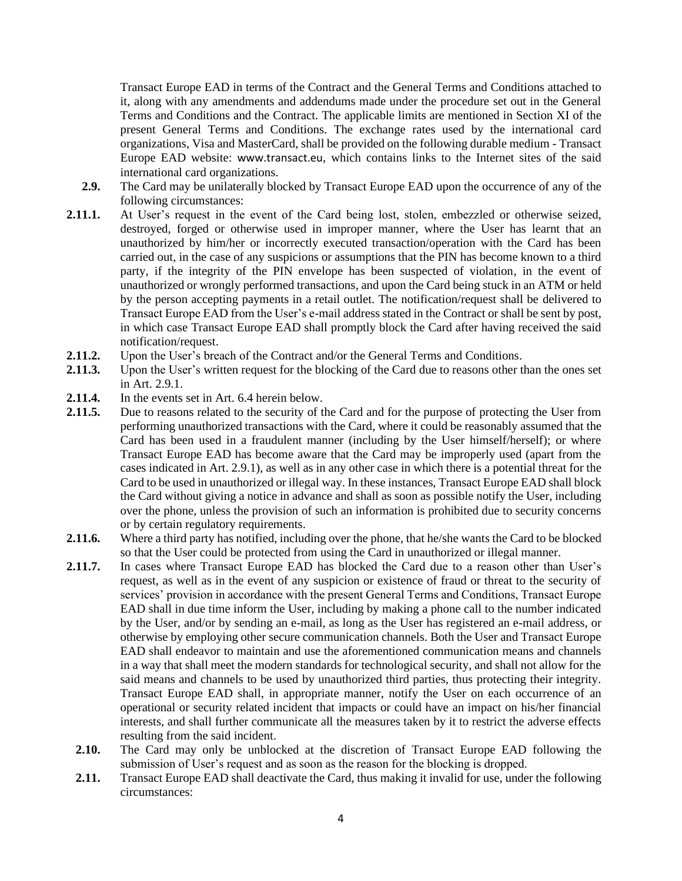Transact Europe EAD in terms of the Contract and the General Terms and Conditions attached to it, along with any amendments and addendums made under the procedure set out in the General Terms and Conditions and the Contract. The applicable limits are mentioned in Section XI of the present General Terms and Conditions. The exchange rates used by the international card organizations, Visa and MasterCard, shall be provided on the following durable medium - Transact Europe EAD website: [www.transact.eu](http://www.transact.eu/), which contains links to the Internet sites of the said international card organizations.

- **2.9.** The Card may be unilaterally blocked by Transact Europe EAD upon the occurrence of any of the following circumstances:
- **2.11.1.** At User's request in the event of the Card being lost, stolen, embezzled or otherwise seized, destroyed, forged or otherwise used in improper manner, where the User has learnt that an unauthorized by him/her or incorrectly executed transaction/operation with the Card has been carried out, in the case of any suspicions or assumptions that the PIN has become known to a third party, if the integrity of the PIN envelope has been suspected of violation, in the event of unauthorized or wrongly performed transactions, and upon the Card being stuck in an ATM or held by the person accepting payments in a retail outlet. The notification/request shall be delivered to Transact Europe EAD from the User's e-mail address stated in the Contract or shall be sent by post, in which case Transact Europe EAD shall promptly block the Card after having received the said notification/request.
- **2.11.2.** Upon the User's breach of the Contract and/or the General Terms and Conditions.
- **2.11.3.** Upon the User's written request for the blocking of the Card due to reasons other than the ones set in Art. 2.9.1.
- **2.11.4.** In the events set in Art. 6.4 herein below.
- **2.11.5.** Due to reasons related to the security of the Card and for the purpose of protecting the User from performing unauthorized transactions with the Card, where it could be reasonably assumed that the Card has been used in a fraudulent manner (including by the User himself/herself); or where Transact Europe EAD has become aware that the Card may be improperly used (apart from the cases indicated in Art. 2.9.1), as well as in any other case in which there is a potential threat for the Card to be used in unauthorized or illegal way. In these instances, Transact Europe EAD shall block the Card without giving a notice in advance and shall as soon as possible notify the User, including over the phone, unless the provision of such an information is prohibited due to security concerns or by certain regulatory requirements.
- **2.11.6.** Where a third party has notified, including over the phone, that he/she wants the Card to be blocked so that the User could be protected from using the Card in unauthorized or illegal manner.
- **2.11.7.** In cases where Transact Europe EAD has blocked the Card due to a reason other than User's request, as well as in the event of any suspicion or existence of fraud or threat to the security of services' provision in accordance with the present General Terms and Conditions, Transact Europe EAD shall in due time inform the User, including by making a phone call to the number indicated by the User, and/or by sending an e-mail, as long as the User has registered an e-mail address, or otherwise by employing other secure communication channels. Both the User and Transact Europe EAD shall endeavor to maintain and use the aforementioned communication means and channels in a way that shall meet the modern standards for technological security, and shall not allow for the said means and channels to be used by unauthorized third parties, thus protecting their integrity. Transact Europe EAD shall, in appropriate manner, notify the User on each occurrence of an operational or security related incident that impacts or could have an impact on his/her financial interests, and shall further communicate all the measures taken by it to restrict the adverse effects resulting from the said incident.
	- **2.10.** The Card may only be unblocked at the discretion of Transact Europe EAD following the submission of User's request and as soon as the reason for the blocking is dropped.
	- **2.11.** Transact Europe EAD shall deactivate the Card, thus making it invalid for use, under the following circumstances: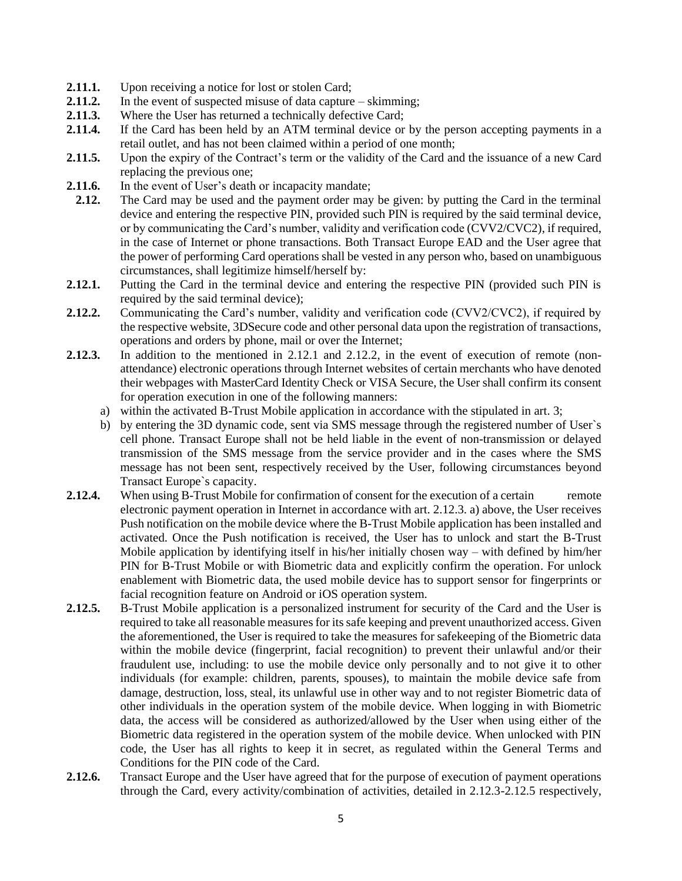- **2.11.1.** Upon receiving a notice for lost or stolen Card;
- **2.11.2.** In the event of suspected misuse of data capture skimming;
- 2.11.3. Where the User has returned a technically defective Card;
- **2.11.4.** If the Card has been held by an ATM terminal device or by the person accepting payments in a retail outlet, and has not been claimed within a period of one month;
- **2.11.5.** Upon the expiry of the Contract's term or the validity of the Card and the issuance of a new Card replacing the previous one;
- **2.11.6.** In the event of User's death or incapacity mandate;
- **2.12.** The Card may be used and the payment order may be given: by putting the Card in the terminal device and entering the respective PIN, provided such PIN is required by the said terminal device, or by communicating the Card's number, validity and verification code (CVV2/CVC2), if required, in the case of Internet or phone transactions. Both Transact Europe EAD and the User agree that the power of performing Card operations shall be vested in any person who, based on unambiguous circumstances, shall legitimize himself/herself by:
- **2.12.1.** Putting the Card in the terminal device and entering the respective PIN (provided such PIN is required by the said terminal device);
- **2.12.2.** Communicating the Card's number, validity and verification code (CVV2/CVC2), if required by the respective website, 3DSecure code and other personal data upon the registration of transactions, operations and orders by phone, mail or over the Internet;
- **2.12.3.** In addition to the mentioned in 2.12.1 and 2.12.2, in the event of execution of remote (nonattendance) electronic operations through Internet websites of certain merchants who have denoted their webpages with MasterCard Identity Check or VISA Secure, the User shall confirm its consent for operation execution in one of the following manners:
	- a) within the activated B-Trust Mobile application in accordance with the stipulated in art. 3;
	- b) by entering the 3D dynamic code, sent via SMS message through the registered number of User`s cell phone. Transact Europe shall not be held liable in the event of non-transmission or delayed transmission of the SMS message from the service provider and in the cases where the SMS message has not been sent, respectively received by the User, following circumstances beyond Transact Europe`s capacity.
- **2.12.4.** When using B-Trust Mobile for confirmation of consent for the execution of a certain remote electronic payment operation in Internet in accordance with art. 2.12.3. a) above, the User receives Push notification on the mobile device where the B-Trust Mobile application has been installed and activated. Once the Push notification is received, the User has to unlock and start the B-Trust Mobile application by identifying itself in his/her initially chosen way – with defined by him/her PIN for B-Trust Mobile or with Biometric data and explicitly confirm the operation. For unlock enablement with Biometric data, the used mobile device has to support sensor for fingerprints or facial recognition feature on Android or iOS operation system.
- **2.12.5.** B-Trust Mobile application is a personalized instrument for security of the Card and the User is required to take all reasonable measures for its safe keeping and prevent unauthorized access. Given the aforementioned, the User is required to take the measures for safekeeping of the Biometric data within the mobile device (fingerprint, facial recognition) to prevent their unlawful and/or their fraudulent use, including: to use the mobile device only personally and to not give it to other individuals (for example: children, parents, spouses), to maintain the mobile device safe from damage, destruction, loss, steal, its unlawful use in other way and to not register Biometric data of other individuals in the operation system of the mobile device. When logging in with Biometric data, the access will be considered as authorized/allowed by the User when using either of the Biometric data registered in the operation system of the mobile device. When unlocked with PIN code, the User has all rights to keep it in secret, as regulated within the General Terms and Conditions for the PIN code of the Card.
- **2.12.6.** Transact Europe and the User have agreed that for the purpose of execution of payment operations through the Card, every activity/combination of activities, detailed in 2.12.3-2.12.5 respectively,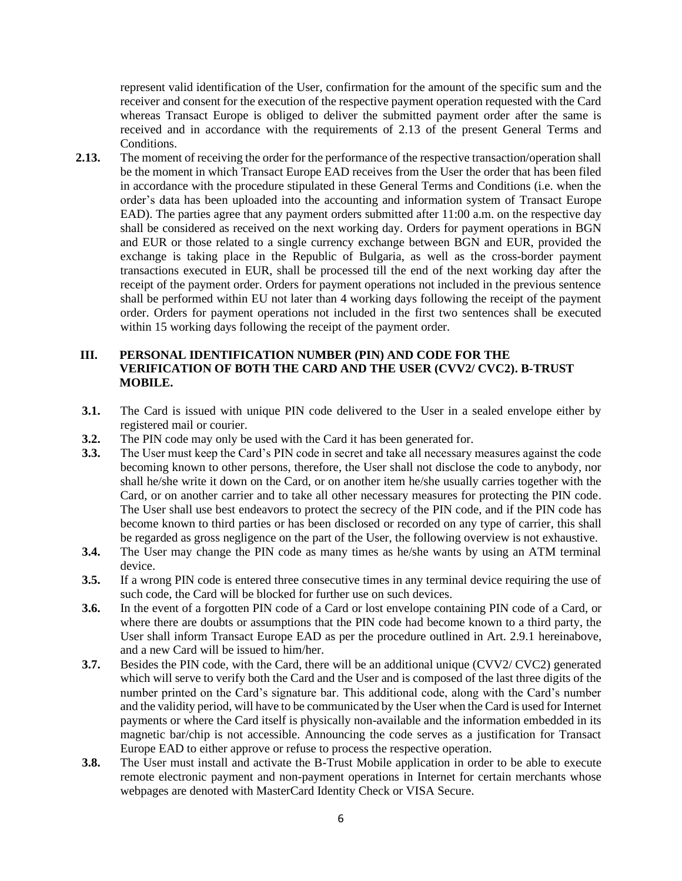represent valid identification of the User, confirmation for the amount of the specific sum and the receiver and consent for the execution of the respective payment operation requested with the Card whereas Transact Europe is obliged to deliver the submitted payment order after the same is received and in accordance with the requirements of 2.13 of the present General Terms and Conditions.

**2.13.** The moment of receiving the order for the performance of the respective transaction/operation shall be the moment in which Transact Europe EAD receives from the User the order that has been filed in accordance with the procedure stipulated in these General Terms and Conditions (i.e. when the order's data has been uploaded into the accounting and information system of Transact Europe EAD). The parties agree that any payment orders submitted after 11:00 a.m. on the respective day shall be considered as received on the next working day. Orders for payment operations in BGN and EUR or those related to a single currency exchange between BGN and EUR, provided the exchange is taking place in the Republic of Bulgaria, as well as the cross-border payment transactions executed in EUR, shall be processed till the end of the next working day after the receipt of the payment order. Orders for payment operations not included in the previous sentence shall be performed within EU not later than 4 working days following the receipt of the payment order. Orders for payment operations not included in the first two sentences shall be executed within 15 working days following the receipt of the payment order.

# **III. PERSONAL IDENTIFICATION NUMBER (PIN) AND CODE FOR THE VERIFICATION OF BOTH THE CARD AND THE USER (CVV2/ CVC2). B-TRUST MOBILE.**

- **3.1.** The Card is issued with unique PIN code delivered to the User in a sealed envelope either by registered mail or courier.
- **3.2.** The PIN code may only be used with the Card it has been generated for.
- **3.3.** The User must keep the Card's PIN code in secret and take all necessary measures against the code becoming known to other persons, therefore, the User shall not disclose the code to anybody, nor shall he/she write it down on the Card, or on another item he/she usually carries together with the Card, or on another carrier and to take all other necessary measures for protecting the PIN code. The User shall use best endeavors to protect the secrecy of the PIN code, and if the PIN code has become known to third parties or has been disclosed or recorded on any type of carrier, this shall be regarded as gross negligence on the part of the User, the following overview is not exhaustive.
- **3.4.** The User may change the PIN code as many times as he/she wants by using an ATM terminal device.
- **3.5.** If a wrong PIN code is entered three consecutive times in any terminal device requiring the use of such code, the Card will be blocked for further use on such devices.
- **3.6.** In the event of a forgotten PIN code of a Card or lost envelope containing PIN code of a Card, or where there are doubts or assumptions that the PIN code had become known to a third party, the User shall inform Transact Europe EAD as per the procedure outlined in Art. 2.9.1 hereinabove, and a new Card will be issued to him/her.
- **3.7.** Besides the PIN code, with the Card, there will be an additional unique (CVV2/ CVC2) generated which will serve to verify both the Card and the User and is composed of the last three digits of the number printed on the Card's signature bar. This additional code, along with the Card's number and the validity period, will have to be communicated by the User when the Card is used for Internet payments or where the Card itself is physically non-available and the information embedded in its magnetic bar/chip is not accessible. Announcing the code serves as a justification for Transact Europe EAD to either approve or refuse to process the respective operation.
- **3.8.** The User must install and activate the B-Trust Mobile application in order to be able to execute remote electronic payment and non-payment operations in Internet for certain merchants whose webpages are denoted with MasterCard Identity Check or VISA Secure.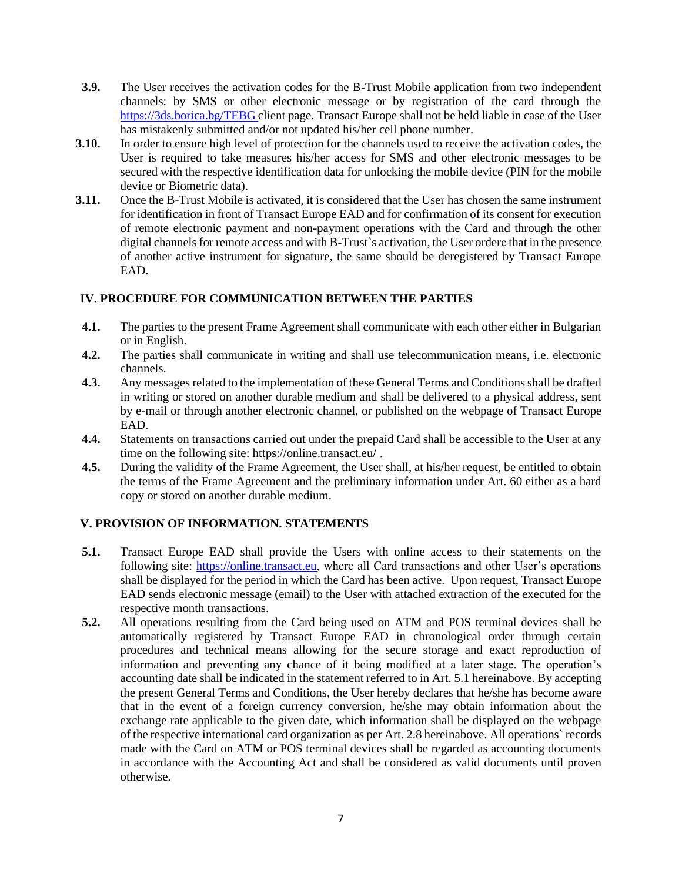- **3.9.** The User receives the activation codes for the B-Trust Mobile application from two independent channels: by SMS or other electronic message or by registration of the card through the <https://3ds.borica.bg/TEBG> client page. Transact Europe shall not be held liable in case of the User has mistakenly submitted and/or not updated his/her cell phone number.
- **3.10.** In order to ensure high level of protection for the channels used to receive the activation codes, the User is required to take measures his/her access for SMS and other electronic messages to be secured with the respective identification data for unlocking the mobile device (PIN for the mobile device or Biometric data).
- **3.11.** Once the B-Trust Mobile is activated, it is considered that the User has chosen the same instrument for identification in front of Transact Europe EAD and for confirmation of its consent for execution of remote electronic payment and non-payment operations with the Card and through the other digital channels for remote access and with B-Trust`s activation, the User orderс that in the presence of another active instrument for signature, the same should be deregistered by Transact Europe EAD.

### **IV. PROCEDURE FOR COMMUNICATION BETWEEN THE PARTIES**

- **4.1.** The parties to the present Frame Agreement shall communicate with each other either in Bulgarian or in English.
- **4.2.** The parties shall communicate in writing and shall use telecommunication means, i.e. electronic channels.
- **4.3.** Any messages related to the implementation of these General Terms and Conditions shall be drafted in writing or stored on another durable medium and shall be delivered to a physical address, sent by e-mail or through another electronic channel, or published on the webpage of Transact Europe EAD.
- **4.4.** Statements on transactions carried out under the prepaid Card shall be accessible to the User at any time on the following site: https://online.transact.eu/ .
- **4.5.** During the validity of the Frame Agreement, the User shall, at his/her request, be entitled to obtain the terms of the Frame Agreement and the preliminary information under Art. 60 either as a hard copy or stored on another durable medium.

# **V. PROVISION OF INFORMATION. STATEMENTS**

- **5.1.** Transact Europe EAD shall provide the Users with online access to their statements on the following site: [https://online.transact.eu,](https://online.transact.eu/) where all Card transactions and other User's operations shall be displayed for the period in which the Card has been active. Upon request, Transact Europe EAD sends electronic message (email) to the User with attached extraction of the executed for the respective month transactions.
- **5.2.** All operations resulting from the Card being used on ATM and POS terminal devices shall be automatically registered by Transact Europe EAD in chronological order through certain procedures and technical means allowing for the secure storage and exact reproduction of information and preventing any chance of it being modified at a later stage. The operation's accounting date shall be indicated in the statement referred to in Art. 5.1 hereinabove. By accepting the present General Terms and Conditions, the User hereby declares that he/she has become aware that in the event of a foreign currency conversion, he/she may obtain information about the exchange rate applicable to the given date, which information shall be displayed on the webpage of the respective international card organization as per Art. 2.8 hereinabove. All operations` records made with the Card on ATM or POS terminal devices shall be regarded as accounting documents in accordance with the Accounting Act and shall be considered as valid documents until proven otherwise.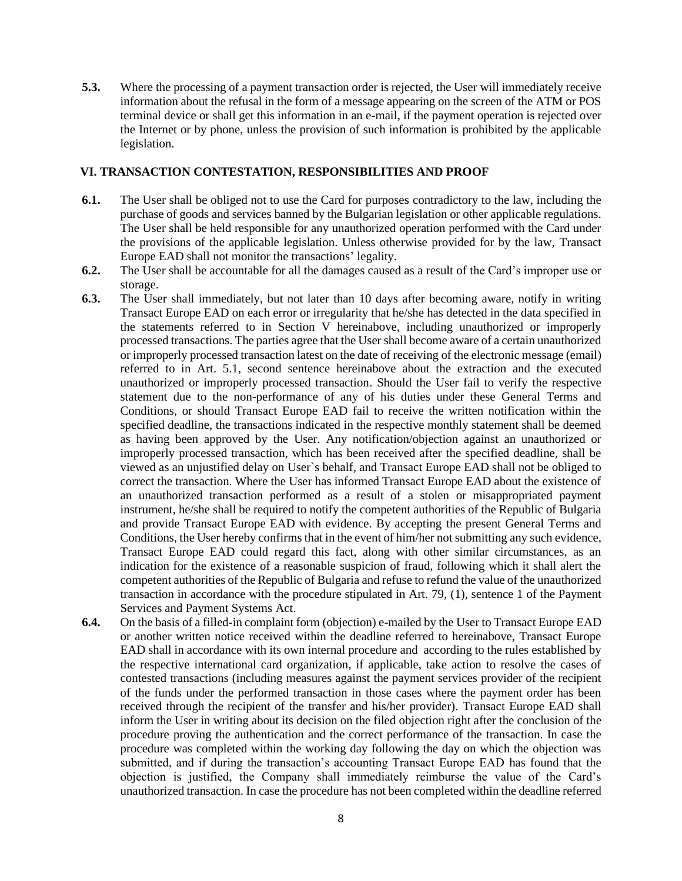**5.3.** Where the processing of a payment transaction order is rejected, the User will immediately receive information about the refusal in the form of a message appearing on the screen of the ATM or POS terminal device or shall get this information in an e-mail, if the payment operation is rejected over the Internet or by phone, unless the provision of such information is prohibited by the applicable legislation.

### **VI. TRANSACTION CONTESTATION, RESPONSIBILITIES AND PROOF**

- **6.1.** The User shall be obliged not to use the Card for purposes contradictory to the law, including the purchase of goods and services banned by the Bulgarian legislation or other applicable regulations. The User shall be held responsible for any unauthorized operation performed with the Card under the provisions of the applicable legislation. Unless otherwise provided for by the law, Transact Europe EAD shall not monitor the transactions' legality.
- **6.2.** The User shall be accountable for all the damages caused as a result of the Card's improper use or storage.
- **6.3.** The User shall immediately, but not later than 10 days after becoming aware, notify in writing Transact Europe EAD on each error or irregularity that he/she has detected in the data specified in the statements referred to in Section V hereinabove, including unauthorized or improperly processed transactions. The parties agree that the User shall become aware of a certain unauthorized or improperly processed transaction latest on the date of receiving of the electronic message (email) referred to in Art. 5.1, second sentence hereinabove about the extraction and the executed unauthorized or improperly processed transaction. Should the User fail to verify the respective statement due to the non-performance of any of his duties under these General Terms and Conditions, or should Transact Europe EAD fail to receive the written notification within the specified deadline, the transactions indicated in the respective monthly statement shall be deemed as having been approved by the User. Any notification/objection against an unauthorized or improperly processed transaction, which has been received after the specified deadline, shall be viewed as an unjustified delay on User`s behalf, and Transact Europe EAD shall not be obliged to correct the transaction. Where the User has informed Transact Europe EAD about the existence of an unauthorized transaction performed as a result of a stolen or misappropriated payment instrument, he/she shall be required to notify the competent authorities of the Republic of Bulgaria and provide Transact Europe EAD with evidence. By accepting the present General Terms and Conditions, the User hereby confirms that in the event of him/her not submitting any such evidence, Transact Europe EAD could regard this fact, along with other similar circumstances, as an indication for the existence of a reasonable suspicion of fraud, following which it shall alert the competent authorities of the Republic of Bulgaria and refuse to refund the value of the unauthorized transaction in accordance with the procedure stipulated in Art. 79, (1), sentence 1 of the Payment Services and Payment Systems Act.
- **6.4.** On the basis of a filled-in complaint form (objection) e-mailed by the User to Transact Europe EAD or another written notice received within the deadline referred to hereinabove, Transact Europe EAD shall in accordance with its own internal procedure and according to the rules established by the respective international card organization, if applicable, take action to resolve the cases of contested transactions (including measures against the payment services provider of the recipient of the funds under the performed transaction in those cases where the payment order has been received through the recipient of the transfer and his/her provider). Transact Europe EAD shall inform the User in writing about its decision on the filed objection right after the conclusion of the procedure proving the authentication and the correct performance of the transaction. In case the procedure was completed within the working day following the day on which the objection was submitted, and if during the transaction's accounting Transact Europe EAD has found that the objection is justified, the Company shall immediately reimburse the value of the Card's unauthorized transaction. In case the procedure has not been completed within the deadline referred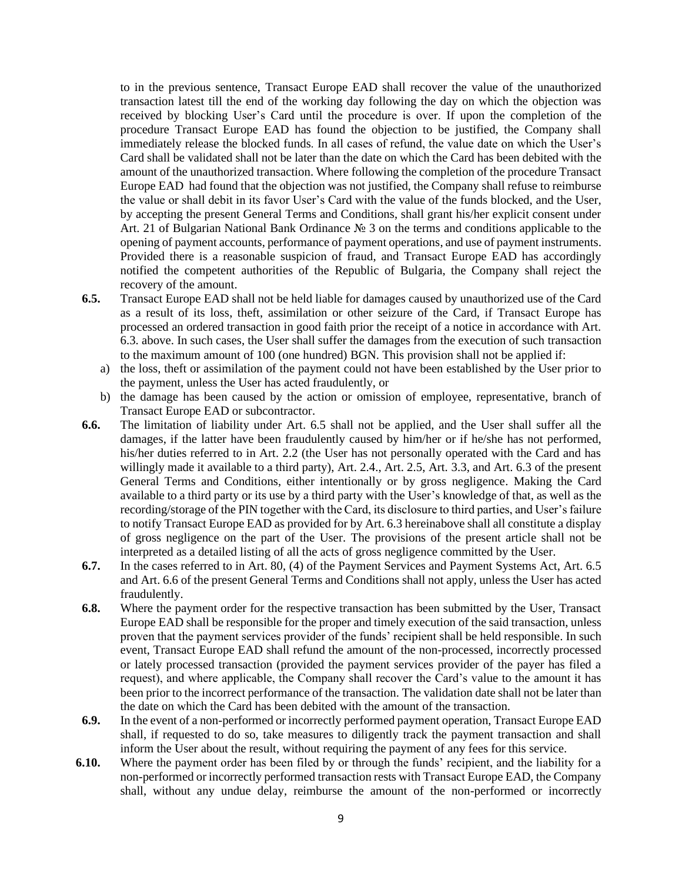to in the previous sentence, Transact Europe EAD shall recover the value of the unauthorized transaction latest till the end of the working day following the day on which the objection was received by blocking User's Card until the procedure is over. If upon the completion of the procedure Transact Europe EAD has found the objection to be justified, the Company shall immediately release the blocked funds. In all cases of refund, the value date on which the User's Card shall be validated shall not be later than the date on which the Card has been debited with the amount of the unauthorized transaction. Where following the completion of the procedure Transact Europe EAD had found that the objection was not justified, the Company shall refuse to reimburse the value or shall debit in its favor User's Card with the value of the funds blocked, and the User, by accepting the present General Terms and Conditions, shall grant his/her explicit consent under Art. 21 of Bulgarian National Bank Ordinance № 3 on the terms and conditions applicable to the opening of payment accounts, performance of payment operations, and use of payment instruments. Provided there is a reasonable suspicion of fraud, and Transact Europe EAD has accordingly notified the competent authorities of the Republic of Bulgaria, the Company shall reject the recovery of the amount.

- **6.5.** Transact Europe EAD shall not be held liable for damages caused by unauthorized use of the Card as a result of its loss, theft, assimilation or other seizure of the Card, if Transact Europe has processed an ordered transaction in good faith prior the receipt of a notice in accordance with Art. 6.3. above. In such cases, the User shall suffer the damages from the execution of such transaction to the maximum amount of 100 (one hundred) BGN. This provision shall not be applied if:
	- a) the loss, theft or assimilation of the payment could not have been established by the User prior to the payment, unless the User has acted fraudulently, or
	- b) the damage has been caused by the action or omission of employee, representative, branch of Transact Europe EAD or subcontractor.
- **6.6.** The limitation of liability under Art. 6.5 shall not be applied, and the User shall suffer all the damages, if the latter have been fraudulently caused by him/her or if he/she has not performed, his/her duties referred to in Art. 2.2 (the User has not personally operated with the Card and has willingly made it available to a third party), Art. 2.4., Art. 2.5, Art. 3.3, and Art. 6.3 of the present General Terms and Conditions, either intentionally or by gross negligence. Making the Card available to a third party or its use by a third party with the User's knowledge of that, as well as the recording/storage of the PIN together with the Card, its disclosure to third parties, and User's failure to notify Transact Europe EAD as provided for by Art. 6.3 hereinabove shall all constitute a display of gross negligence on the part of the User. The provisions of the present article shall not be interpreted as a detailed listing of all the acts of gross negligence committed by the User.
- **6.7.** In the cases referred to in Art. 80, (4) of the Payment Services and Payment Systems Act, Art. 6.5 and Art. 6.6 of the present General Terms and Conditions shall not apply, unless the User has acted fraudulently.
- **6.8.** Where the payment order for the respective transaction has been submitted by the User, Transact Europe EAD shall be responsible for the proper and timely execution of the said transaction, unless proven that the payment services provider of the funds' recipient shall be held responsible. In such event, Transact Europe EAD shall refund the amount of the non-processed, incorrectly processed or lately processed transaction (provided the payment services provider of the payer has filed a request), and where applicable, the Company shall recover the Card's value to the amount it has been prior to the incorrect performance of the transaction. The validation date shall not be later than the date on which the Card has been debited with the amount of the transaction.
- **6.9.** In the event of a non-performed or incorrectly performed payment operation, Transact Europe EAD shall, if requested to do so, take measures to diligently track the payment transaction and shall inform the User about the result, without requiring the payment of any fees for this service.
- **6.10.** Where the payment order has been filed by or through the funds' recipient, and the liability for a non-performed or incorrectly performed transaction rests with Transact Europe EAD, the Company shall, without any undue delay, reimburse the amount of the non-performed or incorrectly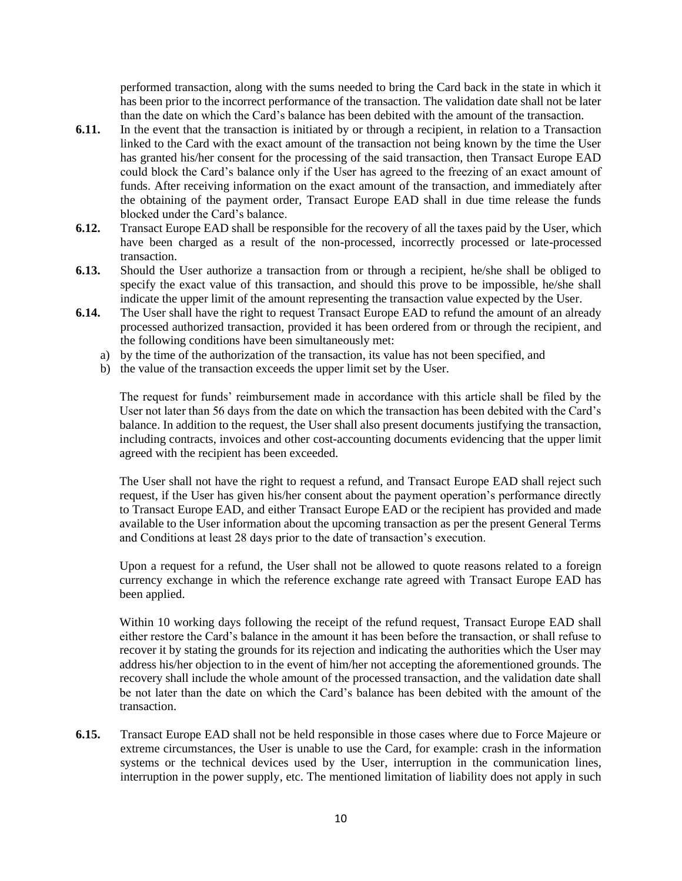performed transaction, along with the sums needed to bring the Card back in the state in which it has been prior to the incorrect performance of the transaction. The validation date shall not be later than the date on which the Card's balance has been debited with the amount of the transaction.

- **6.11.** In the event that the transaction is initiated by or through a recipient, in relation to a Transaction linked to the Card with the exact amount of the transaction not being known by the time the User has granted his/her consent for the processing of the said transaction, then Transact Europe EAD could block the Card's balance only if the User has agreed to the freezing of an exact amount of funds. After receiving information on the exact amount of the transaction, and immediately after the obtaining of the payment order, Transact Europe EAD shall in due time release the funds blocked under the Card's balance.
- **6.12.** Transact Europe EAD shall be responsible for the recovery of all the taxes paid by the User, which have been charged as a result of the non-processed, incorrectly processed or late-processed transaction.
- **6.13.** Should the User authorize a transaction from or through a recipient, he/she shall be obliged to specify the exact value of this transaction, and should this prove to be impossible, he/she shall indicate the upper limit of the amount representing the transaction value expected by the User.
- **6.14.** The User shall have the right to request Transact Europe EAD to refund the amount of an already processed authorized transaction, provided it has been ordered from or through the recipient, and the following conditions have been simultaneously met:
	- a) by the time of the authorization of the transaction, its value has not been specified, and
	- b) the value of the transaction exceeds the upper limit set by the User.

The request for funds' reimbursement made in accordance with this article shall be filed by the User not later than 56 days from the date on which the transaction has been debited with the Card's balance. In addition to the request, the User shall also present documents justifying the transaction, including contracts, invoices and other cost-accounting documents evidencing that the upper limit agreed with the recipient has been exceeded.

The User shall not have the right to request a refund, and Transact Europe EAD shall reject such request, if the User has given his/her consent about the payment operation's performance directly to Transact Europe EAD, and either Transact Europe EAD or the recipient has provided and made available to the User information about the upcoming transaction as per the present General Terms and Conditions at least 28 days prior to the date of transaction's execution.

Upon a request for a refund, the User shall not be allowed to quote reasons related to a foreign currency exchange in which the reference exchange rate agreed with Transact Europe EAD has been applied.

Within 10 working days following the receipt of the refund request, Transact Europe EAD shall either restore the Card's balance in the amount it has been before the transaction, or shall refuse to recover it by stating the grounds for its rejection and indicating the authorities which the User may address his/her objection to in the event of him/her not accepting the aforementioned grounds. The recovery shall include the whole amount of the processed transaction, and the validation date shall be not later than the date on which the Card's balance has been debited with the amount of the transaction.

**6.15.** Transact Europe EAD shall not be held responsible in those cases where due to Force Majeure or extreme circumstances, the User is unable to use the Card, for example: crash in the information systems or the technical devices used by the User, interruption in the communication lines, interruption in the power supply, etc. The mentioned limitation of liability does not apply in such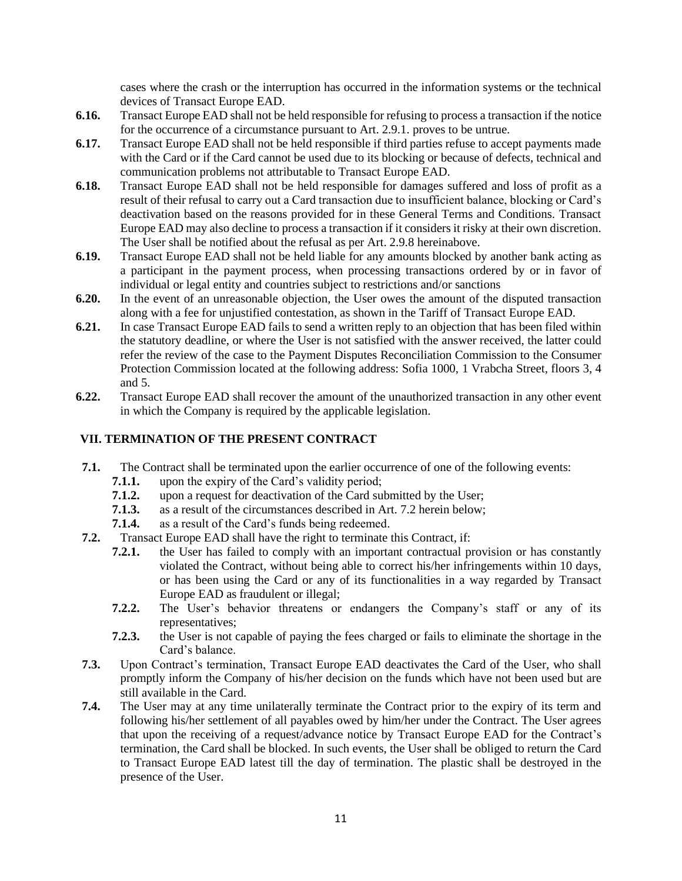cases where the crash or the interruption has occurred in the information systems or the technical devices of Transact Europe EAD.

- **6.16.** Transact Europe EAD shall not be held responsible for refusing to process a transaction if the notice for the occurrence of a circumstance pursuant to Art. 2.9.1. proves to be untrue.
- **6.17.** Transact Europe EAD shall not be held responsible if third parties refuse to accept payments made with the Card or if the Card cannot be used due to its blocking or because of defects, technical and communication problems not attributable to Transact Europe EAD.
- **6.18.** Transact Europe EAD shall not be held responsible for damages suffered and loss of profit as a result of their refusal to carry out a Card transaction due to insufficient balance, blocking or Card's deactivation based on the reasons provided for in these General Terms and Conditions. Transact Europe EAD may also decline to process a transaction if it considers it risky at their own discretion. The User shall be notified about the refusal as per Art. 2.9.8 hereinabove.
- **6.19.** Transact Europe EAD shall not be held liable for any amounts blocked by another bank acting as a participant in the payment process, when processing transactions ordered by or in favor of individual or legal entity and countries subject to restrictions and/or sanctions
- **6.20.** In the event of an unreasonable objection, the User owes the amount of the disputed transaction along with a fee for unjustified contestation, as shown in the Tariff of Transact Europe EAD.
- **6.21.** In case Transact Europe EAD fails to send a written reply to an objection that has been filed within the statutory deadline, or where the User is not satisfied with the answer received, the latter could refer the review of the case to the Payment Disputes Reconciliation Commission to the Consumer Protection Commission located at the following address: Sofia 1000, 1 Vrabcha Street, floors 3, 4 and 5.
- **6.22.** Transact Europe EAD shall recover the amount of the unauthorized transaction in any other event in which the Company is required by the applicable legislation.

### **VII. TERMINATION OF THE PRESENT CONTRACT**

- **7.1.** The Contract shall be terminated upon the earlier occurrence of one of the following events:
	- **7.1.1.** upon the expiry of the Card's validity period;
	- **7.1.2.** upon a request for deactivation of the Card submitted by the User;
	- **7.1.3.** as a result of the circumstances described in Art. 7.2 herein below;
	- **7.1.4.** as a result of the Card's funds being redeemed.
- **7.2.** Transact Europe EAD shall have the right to terminate this Contract, if:
	- **7.2.1.** the User has failed to comply with an important contractual provision or has constantly violated the Contract, without being able to correct his/her infringements within 10 days, or has been using the Card or any of its functionalities in a way regarded by Transact Europe EAD as fraudulent or illegal;
	- **7.2.2.** The User's behavior threatens or endangers the Company's staff or any of its representatives;
	- **7.2.3.** the User is not capable of paying the fees charged or fails to eliminate the shortage in the Card's balance.
- **7.3.** Upon Contract's termination, Transact Europe EAD deactivates the Card of the User, who shall promptly inform the Company of his/her decision on the funds which have not been used but are still available in the Card.
- **7.4.** The User may at any time unilaterally terminate the Contract prior to the expiry of its term and following his/her settlement of all payables owed by him/her under the Contract. The User agrees that upon the receiving of a request/advance notice by Transact Europe EAD for the Contract's termination, the Card shall be blocked. In such events, the User shall be obliged to return the Card to Transact Europe EAD latest till the day of termination. The plastic shall be destroyed in the presence of the User.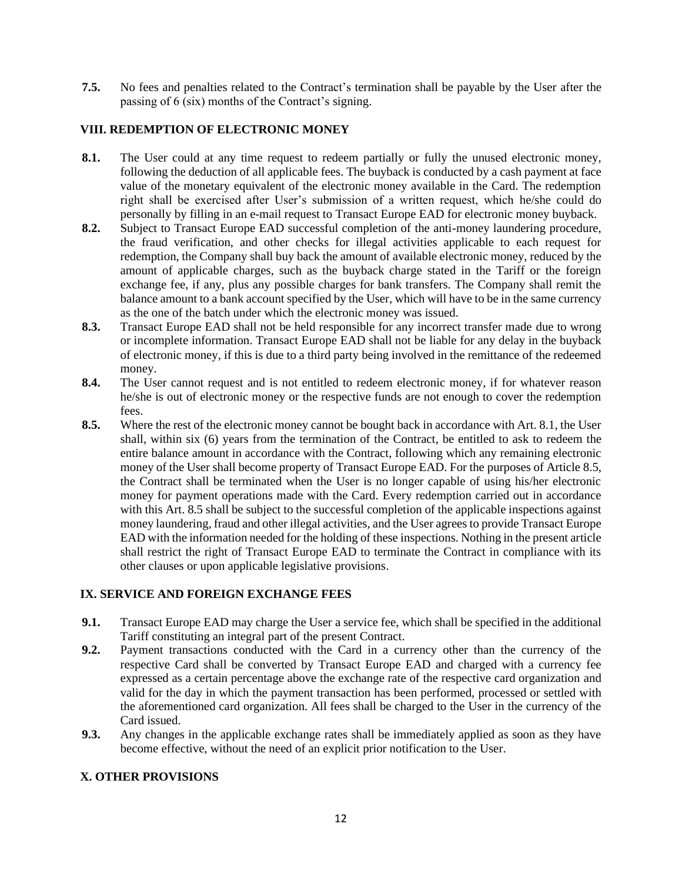**7.5.** No fees and penalties related to the Contract's termination shall be payable by the User after the passing of 6 (six) months of the Contract's signing.

# **VIII. REDEMPTION OF ELECTRONIC MONEY**

- **8.1.** The User could at any time request to redeem partially or fully the unused electronic money, following the deduction of all applicable fees. The buyback is conducted by a cash payment at face value of the monetary equivalent of the electronic money available in the Card. The redemption right shall be exercised after User's submission of a written request, which he/she could do personally by filling in an e-mail request to Transact Europe EAD for electronic money buyback.
- **8.2.** Subject to Transact Europe EAD successful completion of the anti-money laundering procedure, the fraud verification, and other checks for illegal activities applicable to each request for redemption, the Company shall buy back the amount of available electronic money, reduced by the amount of applicable charges, such as the buyback charge stated in the Tariff or the foreign exchange fee, if any, plus any possible charges for bank transfers. The Company shall remit the balance amount to a bank account specified by the User, which will have to be in the same currency as the one of the batch under which the electronic money was issued.
- **8.3.** Transact Europe EAD shall not be held responsible for any incorrect transfer made due to wrong or incomplete information. Transact Europe EAD shall not be liable for any delay in the buyback of electronic money, if this is due to a third party being involved in the remittance of the redeemed money.
- **8.4.** The User cannot request and is not entitled to redeem electronic money, if for whatever reason he/she is out of electronic money or the respective funds are not enough to cover the redemption fees.
- **8.5.** Where the rest of the electronic money cannot be bought back in accordance with Art. 8.1, the User shall, within six (6) years from the termination of the Contract, be entitled to ask to redeem the entire balance amount in accordance with the Contract, following which any remaining electronic money of the User shall become property of Transact Europe EAD. For the purposes of Article 8.5, the Contract shall be terminated when the User is no longer capable of using his/her electronic money for payment operations made with the Card. Every redemption carried out in accordance with this Art. 8.5 shall be subject to the successful completion of the applicable inspections against money laundering, fraud and other illegal activities, and the User agrees to provide Transact Europe EAD with the information needed for the holding of these inspections. Nothing in the present article shall restrict the right of Transact Europe EAD to terminate the Contract in compliance with its other clauses or upon applicable legislative provisions.

#### **IX. SERVICE AND FOREIGN EXCHANGE FEES**

- **9.1.** Transact Europe EAD may charge the User a service fee, which shall be specified in the additional Tariff constituting an integral part of the present Contract.
- **9.2.** Payment transactions conducted with the Card in a currency other than the currency of the respective Card shall be converted by Transact Europe EAD and charged with a currency fee expressed as a certain percentage above the exchange rate of the respective card organization and valid for the day in which the payment transaction has been performed, processed or settled with the aforementioned card organization. All fees shall be charged to the User in the currency of the Card issued.
- **9.3.** Any changes in the applicable exchange rates shall be immediately applied as soon as they have become effective, without the need of an explicit prior notification to the User.

# **X. OTHER PROVISIONS**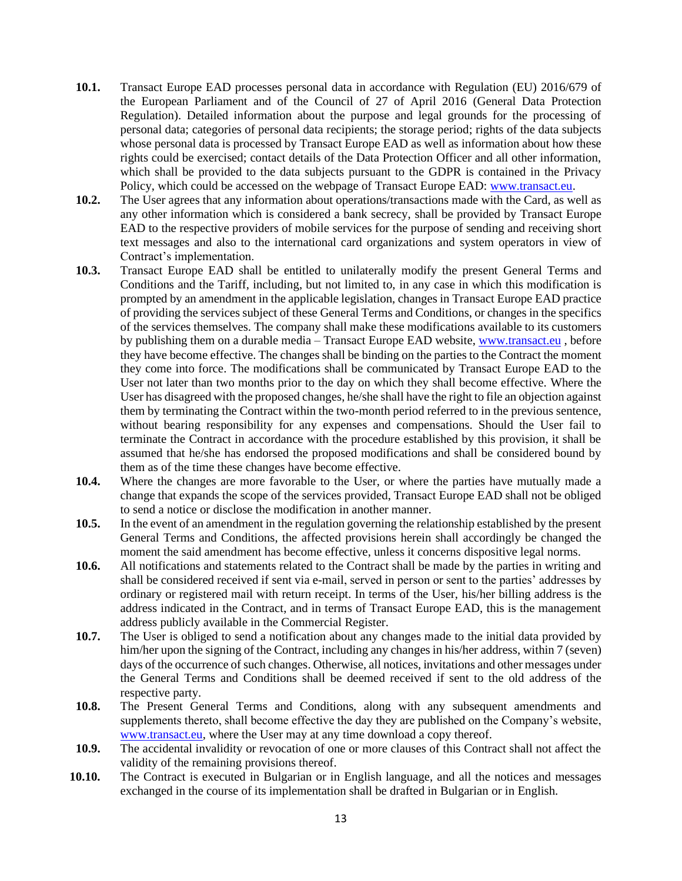- **10.1.** Transact Europe EAD processes personal data in accordance with Regulation (EU) 2016/679 of the European Parliament and of the Council of 27 of April 2016 (General Data Protection Regulation). Detailed information about the purpose and legal grounds for the processing of personal data; categories of personal data recipients; the storage period; rights of the data subjects whose personal data is processed by Transact Europe EAD as well as information about how these rights could be exercised; contact details of the Data Protection Officer and all other information, which shall be provided to the data subjects pursuant to the GDPR is contained in the Privacy Policy, which could be accessed on the webpage of Transact Europe EAD: [www.transact.eu.](http://www.transact.eu/)
- **10.2.** The User agrees that any information about operations/transactions made with the Card, as well as any other information which is considered a bank secrecy, shall be provided by Transact Europe EAD to the respective providers of mobile services for the purpose of sending and receiving short text messages and also to the international card organizations and system operators in view of Contract's implementation.
- **10.3.** Transact Europe EAD shall be entitled to unilaterally modify the present General Terms and Conditions and the Tariff, including, but not limited to, in any case in which this modification is prompted by an amendment in the applicable legislation, changes in Transact Europe EAD practice of providing the services subject of these General Terms and Conditions, or changes in the specifics of the services themselves. The company shall make these modifications available to its customers by publishing them on a durable media – Transact Europe EAD website, [www.transact.eu](http://www.transact.eu/), before they have become effective. The changes shall be binding on the parties to the Contract the moment they come into force. The modifications shall be communicated by Transact Europe EAD to the User not later than two months prior to the day on which they shall become effective. Where the User has disagreed with the proposed changes, he/she shall have the right to file an objection against them by terminating the Contract within the two-month period referred to in the previous sentence, without bearing responsibility for any expenses and compensations. Should the User fail to terminate the Contract in accordance with the procedure established by this provision, it shall be assumed that he/she has endorsed the proposed modifications and shall be considered bound by them as of the time these changes have become effective.
- **10.4.** Where the changes are more favorable to the User, or where the parties have mutually made a change that expands the scope of the services provided, Transact Europe EAD shall not be obliged to send a notice or disclose the modification in another manner.
- **10.5.** In the event of an amendment in the regulation governing the relationship established by the present General Terms and Conditions, the affected provisions herein shall accordingly be changed the moment the said amendment has become effective, unless it concerns dispositive legal norms.
- **10.6.** All notifications and statements related to the Contract shall be made by the parties in writing and shall be considered received if sent via e-mail, served in person or sent to the parties' addresses by ordinary or registered mail with return receipt. In terms of the User, his/her billing address is the address indicated in the Contract, and in terms of Transact Europe EAD, this is the management address publicly available in the Commercial Register.
- **10.7.** The User is obliged to send a notification about any changes made to the initial data provided by him/her upon the signing of the Contract, including any changes in his/her address, within 7 (seven) days of the occurrence of such changes. Otherwise, all notices, invitations and other messages under the General Terms and Conditions shall be deemed received if sent to the old address of the respective party.
- **10.8.** The Present General Terms and Conditions, along with any subsequent amendments and supplements thereto, shall become effective the day they are published on the Company's website, [www.transact.eu,](http://www.transact.eu/) where the User may at any time download a copy thereof.
- **10.9.** The accidental invalidity or revocation of one or more clauses of this Contract shall not affect the validity of the remaining provisions thereof.
- **10.10.** The Contract is executed in Bulgarian or in English language, and all the notices and messages exchanged in the course of its implementation shall be drafted in Bulgarian or in English.